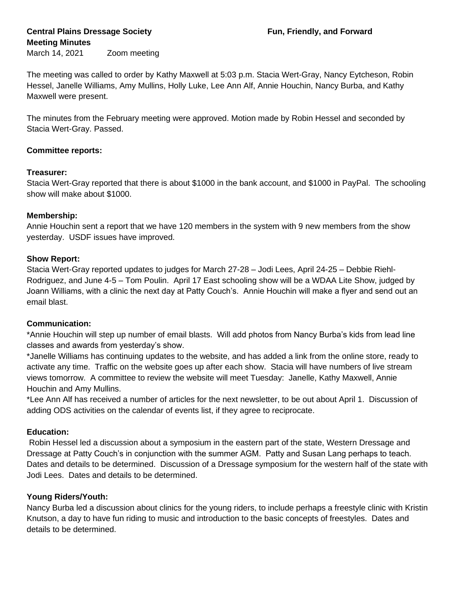# **Central Plains Dressage Society Fun, Friendly, and Forward Meeting Minutes**

March 14, 2021 Zoom meeting

The meeting was called to order by Kathy Maxwell at 5:03 p.m. Stacia Wert-Gray, Nancy Eytcheson, Robin Hessel, Janelle Williams, Amy Mullins, Holly Luke, Lee Ann Alf, Annie Houchin, Nancy Burba, and Kathy Maxwell were present.

The minutes from the February meeting were approved. Motion made by Robin Hessel and seconded by Stacia Wert-Gray. Passed.

### **Committee reports:**

### **Treasurer:**

Stacia Wert-Gray reported that there is about \$1000 in the bank account, and \$1000 in PayPal. The schooling show will make about \$1000.

### **Membership:**

Annie Houchin sent a report that we have 120 members in the system with 9 new members from the show yesterday. USDF issues have improved.

### **Show Report:**

Stacia Wert-Gray reported updates to judges for March 27-28 – Jodi Lees, April 24-25 – Debbie Riehl-Rodriguez, and June 4-5 – Tom Poulin. April 17 East schooling show will be a WDAA Lite Show, judged by Joann Williams, with a clinic the next day at Patty Couch's. Annie Houchin will make a flyer and send out an email blast.

# **Communication:**

\*Annie Houchin will step up number of email blasts. Will add photos from Nancy Burba's kids from lead line classes and awards from yesterday's show.

\*Janelle Williams has continuing updates to the website, and has added a link from the online store, ready to activate any time. Traffic on the website goes up after each show. Stacia will have numbers of live stream views tomorrow. A committee to review the website will meet Tuesday: Janelle, Kathy Maxwell, Annie Houchin and Amy Mullins.

\*Lee Ann Alf has received a number of articles for the next newsletter, to be out about April 1. Discussion of adding ODS activities on the calendar of events list, if they agree to reciprocate.

# **Education:**

Robin Hessel led a discussion about a symposium in the eastern part of the state, Western Dressage and Dressage at Patty Couch's in conjunction with the summer AGM. Patty and Susan Lang perhaps to teach. Dates and details to be determined. Discussion of a Dressage symposium for the western half of the state with Jodi Lees. Dates and details to be determined.

# **Young Riders/Youth:**

Nancy Burba led a discussion about clinics for the young riders, to include perhaps a freestyle clinic with Kristin Knutson, a day to have fun riding to music and introduction to the basic concepts of freestyles. Dates and details to be determined.